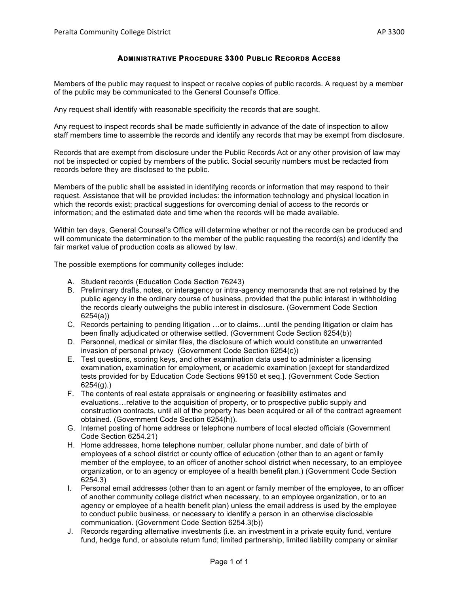## **ADMINISTRATIVE PROCEDURE 3300 PUBLIC RECORDS ACCESS**

Members of the public may request to inspect or receive copies of public records. A request by a member of the public may be communicated to the General Counsel's Office.

Any request shall identify with reasonable specificity the records that are sought.

Any request to inspect records shall be made sufficiently in advance of the date of inspection to allow staff members time to assemble the records and identify any records that may be exempt from disclosure.

Records that are exempt from disclosure under the Public Records Act or any other provision of law may not be inspected or copied by members of the public. Social security numbers must be redacted from records before they are disclosed to the public.

Members of the public shall be assisted in identifying records or information that may respond to their request. Assistance that will be provided includes: the information technology and physical location in which the records exist; practical suggestions for overcoming denial of access to the records or information; and the estimated date and time when the records will be made available.

Within ten days, General Counsel's Office will determine whether or not the records can be produced and will communicate the determination to the member of the public requesting the record(s) and identify the fair market value of production costs as allowed by law.

The possible exemptions for community colleges include:

- A. Student records (Education Code Section 76243)
- B. Preliminary drafts, notes, or interagency or intra-agency memoranda that are not retained by the public agency in the ordinary course of business, provided that the public interest in withholding the records clearly outweighs the public interest in disclosure. (Government Code Section 6254(a))
- C. Records pertaining to pending litigation …or to claims…until the pending litigation or claim has been finally adjudicated or otherwise settled. (Government Code Section 6254(b))
- D. Personnel, medical or similar files, the disclosure of which would constitute an unwarranted invasion of personal privacy (Government Code Section 6254(c))
- E. Test questions, scoring keys, and other examination data used to administer a licensing examination, examination for employment, or academic examination [except for standardized tests provided for by Education Code Sections 99150 et seq.]. (Government Code Section 6254(g).)
- F. The contents of real estate appraisals or engineering or feasibility estimates and evaluations…relative to the acquisition of property, or to prospective public supply and construction contracts, until all of the property has been acquired or all of the contract agreement obtained. (Government Code Section 6254(h)).
- G. Internet posting of home address or telephone numbers of local elected officials (Government Code Section 6254.21)
- H. Home addresses, home telephone number, cellular phone number, and date of birth of employees of a school district or county office of education (other than to an agent or family member of the employee, to an officer of another school district when necessary, to an employee organization, or to an agency or employee of a health benefit plan.) (Government Code Section 6254.3)
- I. Personal email addresses (other than to an agent or family member of the employee, to an officer of another community college district when necessary, to an employee organization, or to an agency or employee of a health benefit plan) unless the email address is used by the employee to conduct public business, or necessary to identify a person in an otherwise disclosable communication. (Government Code Section 6254.3(b))
- J. Records regarding alternative investments (i.e. an investment in a private equity fund, venture fund, hedge fund, or absolute return fund; limited partnership, limited liability company or similar